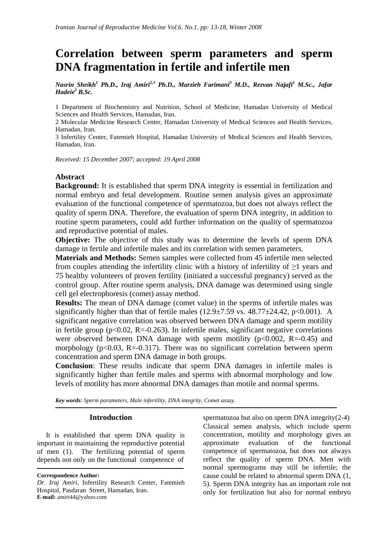# **Correlation between sperm parameters and sperm DNA fragmentation in fertile and infertile men**

*Nasrin Sheikh<sup>1</sup> Ph.D., Iraj Amiri2,3 Ph.D., Marzieh Farimani3 M.D., Rezvan Najafi1 M.Sc., Jafar Hadeie2 B.Sc.*

1 Department of Biochemistry and Nutrition, School of Medicine, Hamadan University of Medical Sciences and Health Services, Hamadan, Iran.

2 Molecular Medicine Research Center, Hamadan University of Medical Sciences and Health Services, Hamadan, Iran.

3 Infertility Center, Fatemieh Hospital, Hamadan University of Medical Sciences and Health Services, Hamadan, Iran.

*Received: 15 December 2007; accepted: 19 April 2008*

## **Abstract**

**Background:** It is established that sperm DNA integrity is essential in fertilization and normal embryo and fetal development. Routine semen analysis gives an approximate evaluation of the functional competence of spermatozoa, but does not always reflect the quality of sperm DNA. Therefore, the evaluation of sperm DNA integrity, in addition to routine sperm parameters, could add further information on the quality of spermatozoa and reproductive potential of males.

**Objective:** The objective of this study was to determine the levels of sperm DNA damage in fertile and infertile males and its correlation with semen parameters.

**Materials and Methods:** Semen samples were collected from 45 infertile men selected from couples attending the infertility clinic with a history of infertility of  $\geq 1$  years and 75 healthy volunteers of proven fertility (initiated a successful pregnancy) served as the control group. After routine sperm analysis, DNA damage was determined using single cell gel electrophoresis (comet) assay method.

**Results:** The mean of DNA damage (comet value) in the sperms of infertile males was significantly higher than that of fertile males  $(12.9\pm7.59 \text{ vs. } 48.77\pm24.42 \text{, } p<0.001)$ . A significant negative correlation was observed between DNA damage and sperm motility in fertile group ( $p<0.02$ ,  $R=-0.263$ ). In infertile males, significant negative correlations were observed between DNA damage with sperm motility ( $p<0.002$ , R=-0.45) and morphology ( $p<0.03$ , R=-0.317). There was no significant correlation between sperm concentration and sperm DNA damage in both groups.

**Conclusion**: These results indicate that sperm DNA damages in infertile males is significantly higher than fertile males and sperms with abnormal morphology and low levels of motility has more abnormal DNA damages than motile and normal sperms.

*Key words: Sperm parameters, Male infertility, DNA integrity, Comet assay.*

#### **Introduction**

 It is established that sperm DNA quality is important in maintaining the reproductive potential of men (1). The fertilizing potential of sperm depends not only on the functional competence of spermatozoa but also on sperm DNA integrity(2-4) Classical semen analysis, which include sperm concentration, motility and morphology gives an approximate evaluation of the functional competence of spermatozoa, but does not always reflect the quality of sperm DNA. Men with normal spermograms may still be infertile; the cause could be related to abnormal sperm DNA (1, 5). Sperm DNA integrity has an important role not only for fertilization but also for normal embryo

**Correspondence Author:** 

*Dr. Iraj Amiri*, Infertility Research Center, Fatemieh Hospital, Pasdaran Street, Hamadan, Iran. **E-mail:** amiri44@yahoo.com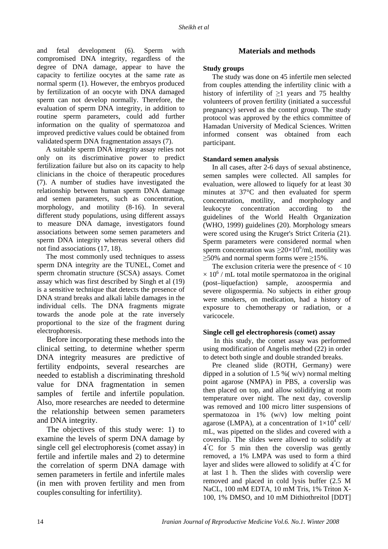and fetal development (6). Sperm with compromised DNA integrity, regardless of the degree of DNA damage, appear to have the capacity to fertilize oocytes at the same rate as normal sperm (1). However, the embryos produced by fertilization of an oocyte with DNA damaged sperm can not develop normally. Therefore, the evaluation of sperm DNA integrity, in addition to routine sperm parameters, could add further information on the quality of spermatozoa and improved predictive values could be obtained from validated sperm DNA fragmentation assays (7).

 A suitable sperm DNA integrity assay relies not only on its discriminative power to predict fertilization failure but also on its capacity to help clinicians in the choice of therapeutic procedures (7). A number of studies have investigated the relationship between human sperm DNA damage and semen parameters, such as concentration, morphology, and motility (8-16). In several different study populations, using different assays to measure DNA damage, investigators found associations between some semen parameters and sperm DNA integrity whereas several others did not find associations (17, 18).

 The most commonly used techniques to assess sperm DNA integrity are the TUNEL, Comet and sperm chromatin structure (SCSA) assays. Comet assay which was first described by Singh et al (19) is a sensitive technique that detects the presence of DNA strand breaks and alkali labile damages in the individual cells. The DNA fragments migrate towards the anode pole at the rate inversely proportional to the size of the fragment during electrophoresis.

 Before incorporating these methods into the clinical setting, to determine whether sperm DNA integrity measures are predictive of fertility endpoints, several researches are needed to establish a discriminating threshold value for DNA fragmentation in semen samples of fertile and infertile population. Also, more researches are needed to determine the relationship between semen parameters and DNA integrity.

 The objectives of this study were: 1) to examine the levels of sperm DNA damage by single cell gel electrophoresis (comet assay) in fertile and infertile males and 2) to determine the correlation of sperm DNA damage with semen parameters in fertile and infertile males (in men with proven fertility and men from couples consulting for infertility).

# **Materials and methods**

## **Study groups**

 The study was done on 45 infertile men selected from couples attending the infertility clinic with a history of infertility of  $\geq$ 1 years and 75 healthy volunteers of proven fertility (initiated a successful pregnancy) served as the control group. The study protocol was approved by the ethics committee of Hamadan University of Medical Sciences. Written informed consent was obtained from each participant.

## **Standard semen analysis**

 In all cases, after 2-6 days of sexual abstinence, semen samples were collected. All samples for evaluation, were allowed to liquefy for at least 30 minutes at 37°C and then evaluated for sperm concentration, motility, and morphology and leukocyte concentration according to the guidelines of the World Health Organization (WHO, 1999) guidelines (20). Morphology smears were scored using the Kruger's Strict Criteria (21). Sperm parameters were considered normal when sperm concentration was  $\geq$ 20×10<sup>6</sup>/ml, motility was  $\geq$ 50% and normal sperm forms were  $\geq$ 15%.

The exclusion criteria were the presence of  $< 10$  $\times$  10<sup>6</sup> / mL total motile spermatozoa in the original (post–liquefaction) sample, azoospermia and severe oligospermia. No subjects in either group were smokers, on medication, had a history of exposure to chemotherapy or radiation, or a varicocele.

#### **Single cell gel electrophoresis (comet) assay**

 In this study, the comet assay was performed using modification of Angelis method (22) in order to detect both single and double stranded breaks.

 Pre cleaned slide (ROTH, Germany) were dipped in a solution of 1.5 % ( $w/v$ ) normal melting point agarose (NMPA) in PBS, a coverslip was then placed on top, and allow solidifying at room temperature over night. The next day, coverslip was removed and 100 micro litter suspensions of spermatozoa in 1% (w/v) low melting point agarose (LMPA), at a concentration of  $1\times10^4$  cell/ mL, was pipetted on the slides and covered with a coverslip. The slides were allowed to solidify at 4° C for 5 min then the coverslip was gently removed, a 1% LMPA was used to form a third layer and slides were allowed to solidify at  $4^{\degree}C$  for at last 1 h. Then the slides with coverslip were removed and placed in cold lysis buffer (2.5 M NaCL, 100 mM EDTA, 10 mM Tris, 1% Triton X-100, 1% DMSO, and 10 mM Dithiothreitol [DDT]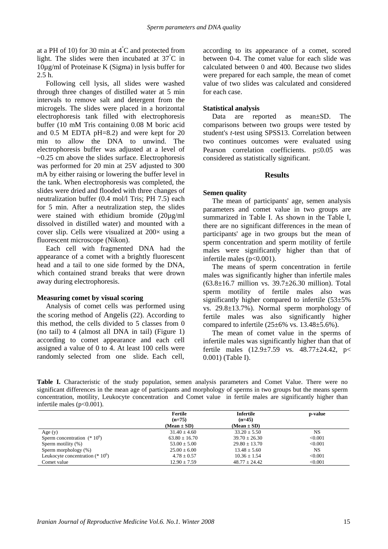at a PH of 10) for 30 min at  $4^{\degree}$ C and protected from light. The slides were then incubated at 37° C in 10µg/ml of Proteinase K (Sigma) in lysis buffer for 2.5 h.

 Following cell lysis, all slides were washed through three changes of distilled water at 5 min intervals to remove salt and detergent from the microgels. The slides were placed in a horizontal electrophoresis tank filled with electrophoresis buffer (10 mM Tris containing 0.08 M boric acid and 0.5 M EDTA pH=8.2) and were kept for 20 min to allow the DNA to unwind. The electrophoresis buffer was adjusted at a level of  $\sim 0.25$  cm above the slides surface. Electrophoresis was performed for 20 min at 25V adjusted to 300 mA by either raising or lowering the buffer level in the tank. When electrophoresis was completed, the slides were dried and flooded with three changes of neutralization buffer (0.4 mol/l Tris; PH 7.5) each for 5 min. After a neutralization step, the slides were stained with ethidium bromide (20µg/ml dissolved in distilled water) and mounted with a cover slip. Cells were visualized at  $200 \times$  using a fluorescent microscope (Nikon).

 Each cell with fragmented DNA had the appearance of a comet with a brightly fluorescent head and a tail to one side formed by the DNA, which contained strand breaks that were drown away during electrophoresis.

## **Measuring comet by visual scoring**

 Analysis of comet cells was performed using the scoring method of Angelis (22). According to this method, the cells divided to 5 classes from 0 (no tail) to 4 (almost all DNA in tail) (Figure 1) according to comet appearance and each cell assigned a value of 0 to 4. At least 100 cells were randomly selected from one slide. Each cell, according to its appearance of a comet, scored between 0-4. The comet value for each slide was calculated between 0 and 400. Because two slides were prepared for each sample, the mean of comet value of two slides was calculated and considered for each case.

## **Statistical analysis**

 Data are reported as mean±SD. The comparisons between two groups were tested by student's *t*-test using SPSS13. Correlation between two continues outcomes were evaluated using Pearson correlation coefficients. p≤0.05 was considered as statistically significant.

# **Results**

# **Semen quality**

 The mean of participants' age, semen analysis parameters and comet value in two groups are summarized in Table I. As shown in the Table I, there are no significant differences in the mean of participants' age in two groups but the mean of sperm concentration and sperm motility of fertile males were significantly higher than that of infertile males  $(p<0.001)$ .

 The means of sperm concentration in fertile males was significantly higher than infertile males (63.8±16.7 million vs. 39.7±26.30 million). Total sperm motility of fertile males also was significantly higher compared to infertile (53±5% vs. 29.8±13.7%). Normal sperm morphology of fertile males was also significantly higher compared to infertile  $(25\pm6\% \text{ vs. } 13.48\pm5.6\%)$ .

 The mean of comet value in the sperms of infertile males was significantly higher than that of fertile males (12.9±7.59 vs. 48.77±24.42, p< 0.001) (Table I).

Table I. Characteristic of the study population, semen analysis parameters and Comet Value. There were no significant differences in the mean age of participants and morphology of sperms in two groups but the means sperm concentration, motility, Leukocyte concentration and Comet value in fertile males are significantly higher than infertile males (p<0.001).

|                                    | Fertile                     | <b>Infertile</b>            | p-value   |
|------------------------------------|-----------------------------|-----------------------------|-----------|
|                                    | $(n=75)$<br>$(Mean \pm SD)$ | $(n=45)$<br>$(Mean \pm SD)$ |           |
| Age $(y)$                          | $31.40 + 4.60$              | $33.20 + 5.50$              | NS        |
| Sperm concentration $(* 10^6)$     | $63.80 \pm 16.70$           | $39.70 \pm 26.30$           | < 0.001   |
| Sperm motility (%)                 | $53.00 + 5.00$              | $29.80 + 13.70$             | < 0.001   |
| Sperm morphology (%)               | $25.00 \pm 6.00$            | $13.48 \pm 5.60$            | <b>NS</b> |
| Leukocyte concentration $(* 10^6)$ | $4.78 \pm 0.57$             | $10.36 \pm 1.54$            | < 0.001   |
| Comet value                        | $12.90 \pm 7.59$            | $48.77 \pm 24.42$           | < 0.001   |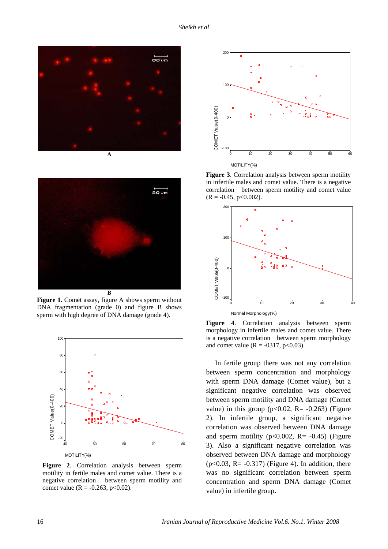



**Figure 1.** Comet assay, figure A shows sperm without DNA fragmentation (grade 0) and figure B shows sperm with high degree of DNA damage (grade 4).



**Figure 2**. Correlation analysis between sperm motility in fertile males and comet value. There is a negative correlation between sperm motility and comet value ( $R = -0.263$ ,  $p < 0.02$ ).



**Figure 3**. Correlation analysis between sperm motility in infertile males and comet value. There is a negative correlation between sperm motility and comet value  $(R = -0.45, p < 0.002)$ .



**Figure 4**. Correlation analysis between sperm morphology in infertile males and comet value. There is a negative correlation between sperm morphology and comet value ( $R = -0317$ ,  $p < 0.03$ ).

 In fertile group there was not any correlation between sperm concentration and morphology with sperm DNA damage (Comet value), but a significant negative correlation was observed between sperm motility and DNA damage (Comet value) in this group ( $p<0.02$ , R= -0.263) (Figure 2). In infertile group, a significant negative correlation was observed between DNA damage and sperm motility ( $p<0.002$ ,  $R = -0.45$ ) (Figure 3). Also a significant negative correlation was observed between DNA damage and morphology  $(p<0.03, R= -0.317)$  (Figure 4). In addition, there was no significant correlation between sperm concentration and sperm DNA damage (Comet value) in infertile group.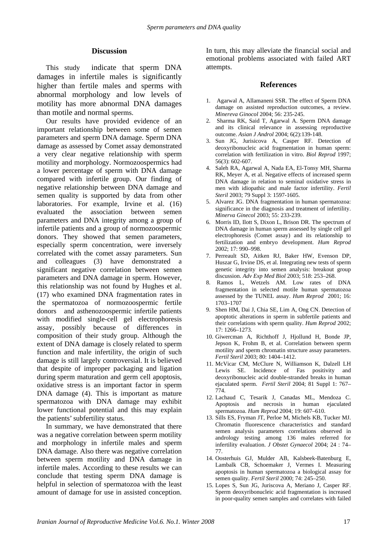## **Discussion**

 This study indicate that sperm DNA damages in infertile males is significantly higher than fertile males and sperms with abnormal morphology and low levels of motility has more abnormal DNA damages than motile and normal sperms.

 Our results have provided evidence of an important relationship between some of semen parameters and sperm DNA damage. Sperm DNA damage as assessed by Comet assay demonstrated a very clear negative relationship with sperm motility and morphology. Normozoospermics had a lower percentage of sperm with DNA damage compared with infertile group. Our finding of negative relationship between DNA damage and semen quality is supported by data from other laboratories. For example, Irvine et al. (16) evaluated the association between semen parameters and DNA integrity among a group of infertile patients and a group of normozoospermic donors. They showed that semen parameters, especially sperm concentration, were inversely correlated with the comet assay parameters. Sun and colleagues (3) have demonstrated a significant negative correlation between semen parameters and DNA damage in sperm. However, this relationship was not found by Hughes et al. (17) who examined DNA fragmentation rates in the spermatozoa of normozoospermic fertile donors and asthenozoospermic infertile patients with modified single-cell gel electrophoresis assay, possibly because of differences in composition of their study group. Although the extent of DNA damage is closely related to sperm function and male infertility, the origin of such damage is still largely controversial. It is believed that despite of improper packaging and ligation during sperm maturation and germ cell apoptosis, oxidative stress is an important factor in sperm DNA damage (4). This is important as mature spermatozoa with DNA damage may exhibit lower functional potential and this may explain the patients'subfertility status.

 In summary, we have demonstrated that there was a negative correlation between sperm motility and morphology in infertile males and sperm DNA damage. Also there was negative correlation between sperm motility and DNA damage in infertile males. According to these results we can conclude that testing sperm DNA damage is helpful in selection of spermatozoa with the least amount of damage for use in assisted conception.

In turn, this may alleviate the financial social and emotional problems associated with failed ART attempts.

#### **References**

- 1. Agarwal A, Allamaneni SSR. The effect of Sperm DNA damage on assisted reproduction outcomes, a review. *Minereva Ginocol* 2004; 56: 235-245.
- 2. Sharma RK, Said T, Agarwal A. Sperm DNA damage and its clinical relevance in assessing reproductive outcome. *Asian J Androl* 2004; 6(2):139-148.
- 3. Sun JG, Jurisicova A, Casper RF. Detection of deoxyribonucleic acid fragmentation in human sperm: correlation with fertilization in vitro. *Biol Reprod* 1997; 56(3): 602-607.
- 4. Saleh RA, Agarwal A, Nada EA, El-Tonsy MH, Sharma RK, Meyer A, et al. Negative effects of increased sperm DNA damage in relation to seminal oxidative stress in men with idiopathic and male factor infertility. *Fertil Steril* 2003; 79 Suppl 3: 1597-1605.
- 5. Alvarez JG. DNA fragmentation in human spermatozoa: significance in the diagnosis and treatment of infertility. *Minerva Ginecol* 2003; 55: 233-239.
- 6. Morris ID, Ilott S, Dixon L, Brison DR. The spectrum of DNA damage in human sperm assessed by single cell gel electrophoresis (Comet assay) and its relationship to fertilization and embryo development. *Hum Reprod* 2002; 17: 990–998.
- 7. Perreault SD, Aitken RJ, Baker HW, Evenson DP, Huszar G, Irvine DS, et al. Integrating new tests of sperm genetic integrity into semen analysis: breakout group discussion. *Adv Exp Med Biol* 2003; 518: 253–268.
- 8. Ramos L, Wetzels AM. Low rates of DNA fragmentation in selected motile human spermatozoa assessed by the TUNEL assay. *Hum Reprod* 2001; 16: 1703–1707
- 9. Shen HM, Dai J, Chia SE, Lim A, Ong CN. Detection of apoptotic alterations in sperm in subfertile patients and their correlations with sperm quality. *Hum Reprod* 2002; 17: 1266–1273.
- 10. Giwercman A, Richthoff J, Hjollund H, Bonde JP, Jepson K, Frohm B, et al. Correlation between sperm motility and sperm chromatin structure assay parameters. *Fertil Steril* 2003; 80: 1404–1412.
- 11. McVicar CM, McClure N, Williamson K, Dalzell LH Lewis SE. Incidence of Fas positivity and deoxyribonucleic acid double-stranded breaks in human ejaculated sperm. *Fertil Steril* 2004; 81 Suppl 1: 767– 774.
- 12. Lachaud C, Tesarik J, Canadas ML, Mendoza C. Apoptosis and necrosis in human ejaculated spermatozoa. *Hum Reprod* 2004; 19: 607–610.
- 13. Sills ES, Fryman JT, Perloe M, Michels KB, Tucker MJ. Chromatin fluorescence characteristics and standard semen analysis parameters correlations observed in andrology testing among 136 males referred for infertility evaluation. *J Obstet Gynaecol* 2004; 24 : 74– 77.
- 14. Oosterhuis GJ, Mulder AB, Kalsbeek-Batenburg E, Lambalk CB, Schoemaker J, Vermes I. Measuring apoptosis in human spermatozoa a biological assay for semen quality. *Fertil Steril* 2000; 74: 245–250.
- 15. Lopes S, Sun JG, Juriscova A, Meriano J, Casper RF. Sperm deoxyribonucleic acid fragmentation is increased in poor-quality semen samples and correlates with failed